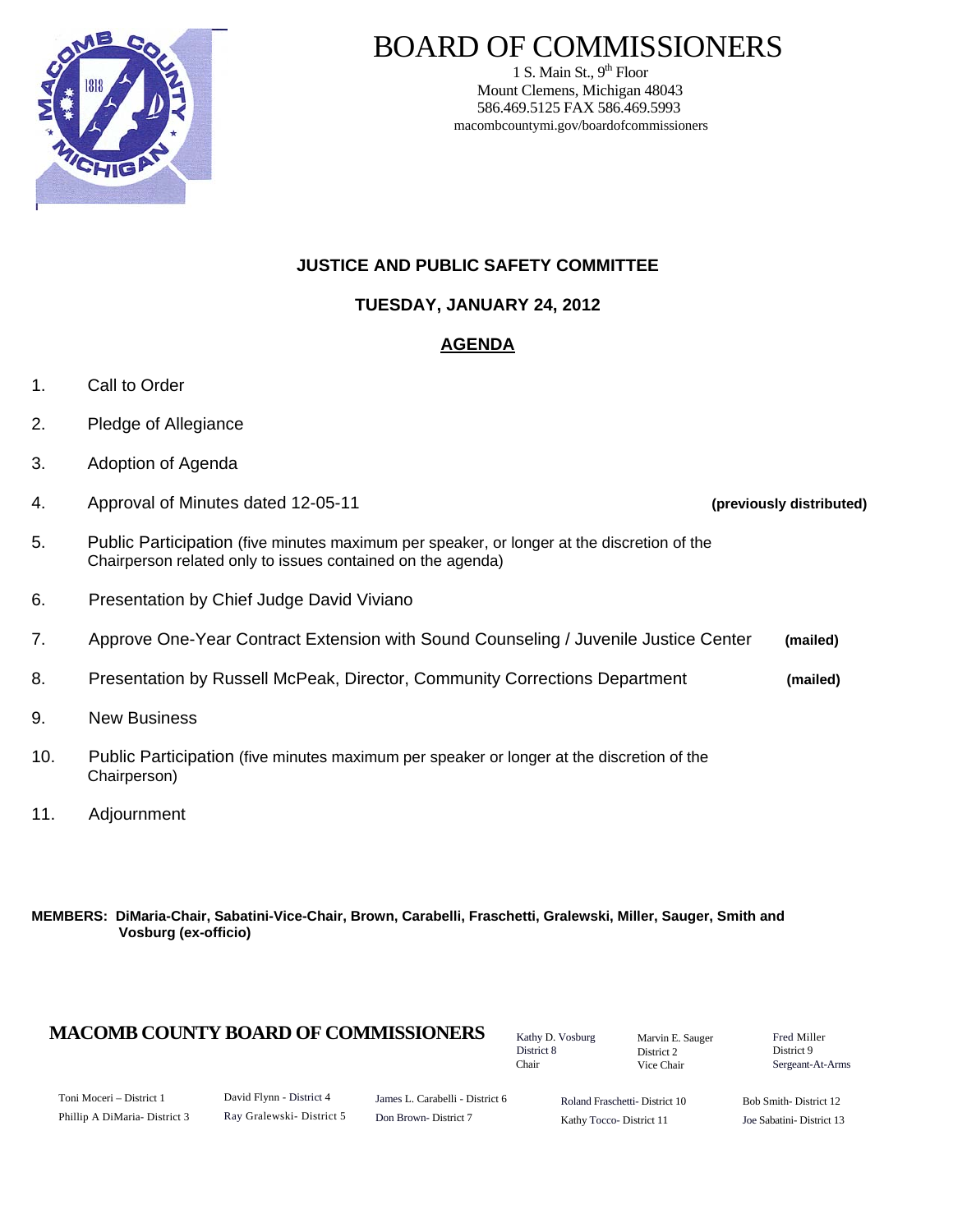

# BOARD OF COMMISSIONERS

1 S. Main St.,  $9<sup>th</sup>$  Floor Mount Clemens, Michigan 48043 586.469.5125 FAX 586.469.5993 macombcountymi.gov/boardofcommissioners

## **JUSTICE AND PUBLIC SAFETY COMMITTEE**

**TUESDAY, JANUARY 24, 2012** 

# **AGENDA**

- 1. Call to Order
- 2. Pledge of Allegiance
- 3. Adoption of Agenda
- 4. Approval of Minutes dated 12-05-11 **(previously distributed)**
- 5. Public Participation (five minutes maximum per speaker, or longer at the discretion of the Chairperson related only to issues contained on the agenda)
- 6. Presentation by Chief Judge David Viviano
- 7. Approve One-Year Contract Extension with Sound Counseling / Juvenile Justice Center **(mailed)**
- 8. Presentation by Russell McPeak, Director, Community Corrections Department **(mailed)**
- 9. New Business
- 10. Public Participation (five minutes maximum per speaker or longer at the discretion of the Chairperson)
- 11. Adjournment

#### **MEMBERS: DiMaria-Chair, Sabatini-Vice-Chair, Brown, Carabelli, Fraschetti, Gralewski, Miller, Sauger, Smith and Vosburg (ex-officio)**

## **MACOMB COUNTY BOARD OF COMMISSIONERS** Factor D. Vosburg Marvin F. Sauger Fred Miller

Kathy D. Vosburg District 8 Chair

Marvin E. Sauger District 2 Vice Chair

District 9 Sergeant-At-Arms

| Toni Moceri – District 1      |  |
|-------------------------------|--|
| Phillip A DiMaria- District 3 |  |

David Flynn - District 4 Ray Gralewski- District 5

James L. Carabelli - District 6 Don Brown- District 7

Roland Fraschetti- District 10 Kathy Tocco- District 11

Bob Smith- District 12 Joe Sabatini- District 13